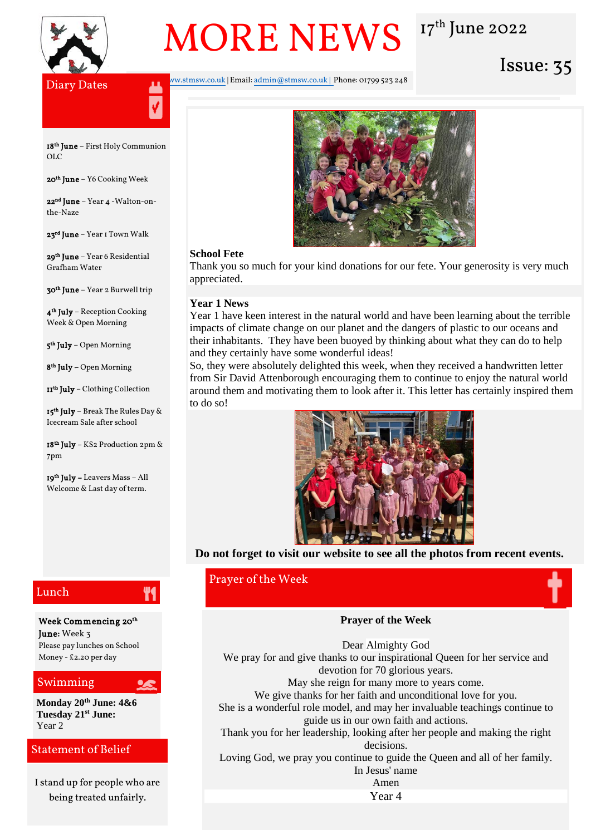

# MORE NEWS 17th June 2022

y Diary Dates Issue: 35

Website[: www.stmsw.co.uk](http://www.stmsw.co.uk/) | Email[: admin@stmsw.co.uk](mailto:admin@stmsw.co.uk) | Phone: 01799 523 248



**18<sup>th</sup> June** – First Holy Communion OLC

**20<sup>th</sup> June** – Y6 Cooking Week

22nd June – Year 4 -Walton-onthe-Naze

**23<sup>rd</sup> June** – Year 1 Town Walk

**29<sup>th</sup> June** – Year 6 Residential Grafham Water

**30<sup>th</sup> June** – Year 2 Burwell trip

4 th July – Reception Cooking Week & Open Morning

**5<sup>th</sup> July** – Open Morning

**8th July –** Open Morning

**11<sup>th</sup> July** – Clothing Collection

**15<sup>th</sup> July** – Break The Rules Day & Icecream Sale after school

18th July – KS2 Production 2pm & 7pm

**19<sup>th</sup> July –** Leavers Mass – All Welcome & Last day of term.

# Lunch

Week Commencing 20th June: Week 3 Please pay lunches on School Money - £2.20 per day

Y1

### Swimming

**Monday 20th June: 4&6 Tuesday 21st June:**  Year 2

# Statement of Belief

I stand up for people who are being treated unfairly.

#### **School Fete**

Thank you so much for your kind donations for our fete. Your generosity is very much appreciated.

#### **Year 1 News**

Year 1 have keen interest in the natural world and have been learning about the terrible impacts of climate change on our planet and the dangers of plastic to our oceans and their inhabitants. They have been buoyed by thinking about what they can do to help and they certainly have some wonderful ideas!

So, they were absolutely delighted this week, when they received a handwritten letter from Sir David Attenborough encouraging them to continue to enjoy the natural world around them and motivating them to look after it. This letter has certainly inspired them to do so!



**Do not forget to visit our website to see all the photos from recent events.**

# Prayer of the Week



#### **Prayer of the Week**

**EVALUATE: We give thanks for her faith and unconditional love for you.** Dear Almighty God We pray for and give thanks to our inspirational Queen for her service and devotion for 70 glorious years. May she reign for many more to years come. She is a wonderful role model, and may her invaluable teachings continue to guide us in our own faith and actions.

Thank you for her leadership, looking after her people and making the right decisions.

Loving God, we pray you continue to guide the Queen and all of her family. In Jesus' name

Amen

Year 4